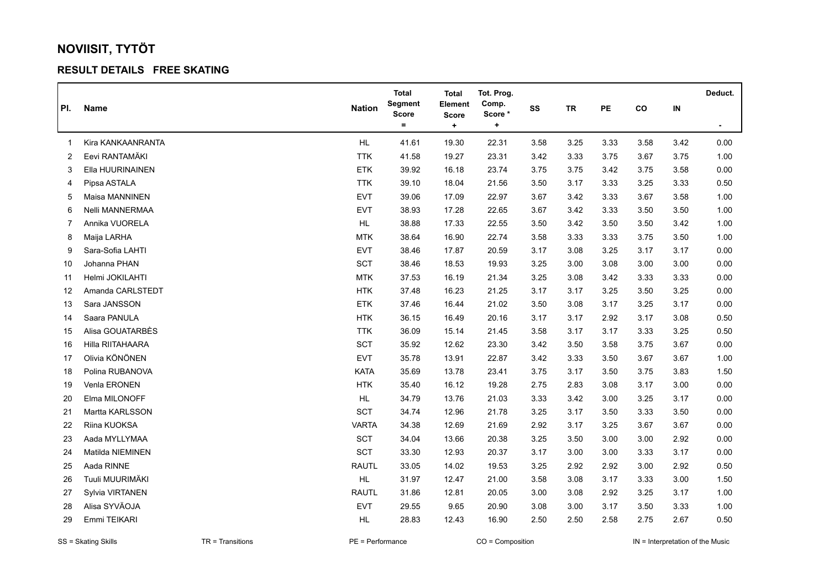## **NOVIISIT, TYTÖT**

## **RESULT DETAILS FREE SKATING**

|     |                   |               | <b>Total</b>            | Total                   | Tot. Prog.       |      |           |      |          |      | Deduct.        |
|-----|-------------------|---------------|-------------------------|-------------------------|------------------|------|-----------|------|----------|------|----------------|
| PI. | Name              | <b>Nation</b> | Segment<br><b>Score</b> | Element<br><b>Score</b> | Comp.<br>Score * | SS   | <b>TR</b> | PE   | co       | IN   |                |
|     |                   |               | $=$                     | $\ddot{}$               | ٠                |      |           |      |          |      | $\blacksquare$ |
| 1   | Kira KANKAANRANTA | HL            | 41.61                   | 19.30                   | 22.31            | 3.58 | 3.25      | 3.33 | 3.58     | 3.42 | 0.00           |
| 2   | Eevi RANTAMÄKI    | <b>TTK</b>    | 41.58                   | 19.27                   | 23.31            | 3.42 | 3.33      | 3.75 | 3.67     | 3.75 | 1.00           |
| 3   | Ella HUURINAINEN  | <b>ETK</b>    | 39.92                   | 16.18                   | 23.74            | 3.75 | 3.75      | 3.42 | 3.75     | 3.58 | 0.00           |
| 4   | Pipsa ASTALA      | <b>TTK</b>    | 39.10                   | 18.04                   | 21.56            | 3.50 | 3.17      | 3.33 | 3.25     | 3.33 | 0.50           |
| 5   | Maisa MANNINEN    | <b>EVT</b>    | 39.06                   | 17.09                   | 22.97            | 3.67 | 3.42      | 3.33 | 3.67     | 3.58 | 1.00           |
| 6   | Nelli MANNERMAA   | EVT           | 38.93                   | 17.28                   | 22.65            | 3.67 | 3.42      | 3.33 | $3.50\,$ | 3.50 | 1.00           |
| 7   | Annika VUORELA    | <b>HL</b>     | 38.88                   | 17.33                   | 22.55            | 3.50 | 3.42      | 3.50 | 3.50     | 3.42 | 1.00           |
| 8   | Maija LARHA       | <b>MTK</b>    | 38.64                   | 16.90                   | 22.74            | 3.58 | 3.33      | 3.33 | 3.75     | 3.50 | 1.00           |
| 9   | Sara-Sofia LAHTI  | <b>EVT</b>    | 38.46                   | 17.87                   | 20.59            | 3.17 | 3.08      | 3.25 | 3.17     | 3.17 | 0.00           |
| 10  | Johanna PHAN      | SCT           | 38.46                   | 18.53                   | 19.93            | 3.25 | 3.00      | 3.08 | 3.00     | 3.00 | 0.00           |
| 11  | Helmi JOKILAHTI   | <b>MTK</b>    | 37.53                   | 16.19                   | 21.34            | 3.25 | 3.08      | 3.42 | 3.33     | 3.33 | 0.00           |
| 12  | Amanda CARLSTEDT  | <b>HTK</b>    | 37.48                   | 16.23                   | 21.25            | 3.17 | 3.17      | 3.25 | 3.50     | 3.25 | 0.00           |
| 13  | Sara JANSSON      | <b>ETK</b>    | 37.46                   | 16.44                   | 21.02            | 3.50 | 3.08      | 3.17 | 3.25     | 3.17 | 0.00           |
| 14  | Saara PANULA      | <b>HTK</b>    | 36.15                   | 16.49                   | 20.16            | 3.17 | 3.17      | 2.92 | 3.17     | 3.08 | 0.50           |
| 15  | Alisa GOUATARBÈS  | <b>TTK</b>    | 36.09                   | 15.14                   | 21.45            | 3.58 | 3.17      | 3.17 | 3.33     | 3.25 | 0.50           |
| 16  | Hilla RIITAHAARA  | SCT           | 35.92                   | 12.62                   | 23.30            | 3.42 | 3.50      | 3.58 | 3.75     | 3.67 | 0.00           |
| 17  | Olivia KÖNÖNEN    | <b>EVT</b>    | 35.78                   | 13.91                   | 22.87            | 3.42 | 3.33      | 3.50 | 3.67     | 3.67 | 1.00           |
| 18  | Polina RUBANOVA   | <b>KATA</b>   | 35.69                   | 13.78                   | 23.41            | 3.75 | 3.17      | 3.50 | 3.75     | 3.83 | 1.50           |
| 19  | Venla ERONEN      | <b>HTK</b>    | 35.40                   | 16.12                   | 19.28            | 2.75 | 2.83      | 3.08 | 3.17     | 3.00 | 0.00           |
| 20  | Elma MILONOFF     | HL            | 34.79                   | 13.76                   | 21.03            | 3.33 | 3.42      | 3.00 | 3.25     | 3.17 | 0.00           |
| 21  | Martta KARLSSON   | SCT           | 34.74                   | 12.96                   | 21.78            | 3.25 | 3.17      | 3.50 | 3.33     | 3.50 | 0.00           |
| 22  | Riina KUOKSA      | <b>VARTA</b>  | 34.38                   | 12.69                   | 21.69            | 2.92 | 3.17      | 3.25 | 3.67     | 3.67 | 0.00           |
| 23  | Aada MYLLYMAA     | <b>SCT</b>    | 34.04                   | 13.66                   | 20.38            | 3.25 | 3.50      | 3.00 | 3.00     | 2.92 | 0.00           |
| 24  | Matilda NIEMINEN  | SCT           | 33.30                   | 12.93                   | 20.37            | 3.17 | 3.00      | 3.00 | 3.33     | 3.17 | 0.00           |
| 25  | Aada RINNE        | <b>RAUTL</b>  | 33.05                   | 14.02                   | 19.53            | 3.25 | 2.92      | 2.92 | 3.00     | 2.92 | 0.50           |
| 26  | Tuuli MUURIMÄKI   | <b>HL</b>     | 31.97                   | 12.47                   | 21.00            | 3.58 | 3.08      | 3.17 | 3.33     | 3.00 | 1.50           |
| 27  | Sylvia VIRTANEN   | <b>RAUTL</b>  | 31.86                   | 12.81                   | 20.05            | 3.00 | 3.08      | 2.92 | 3.25     | 3.17 | 1.00           |
| 28  | Alisa SYVÄOJA     | EVT           | 29.55                   | 9.65                    | 20.90            | 3.08 | 3.00      | 3.17 | 3.50     | 3.33 | 1.00           |
| 29  | Emmi TEIKARI      | HL            | 28.83                   | 12.43                   | 16.90            | 2.50 | 2.50      | 2.58 | 2.75     | 2.67 | 0.50           |

SS = Skating Skills **TR = Transitions** PE = Performance CO = Composition IN = Interpretation of the Music